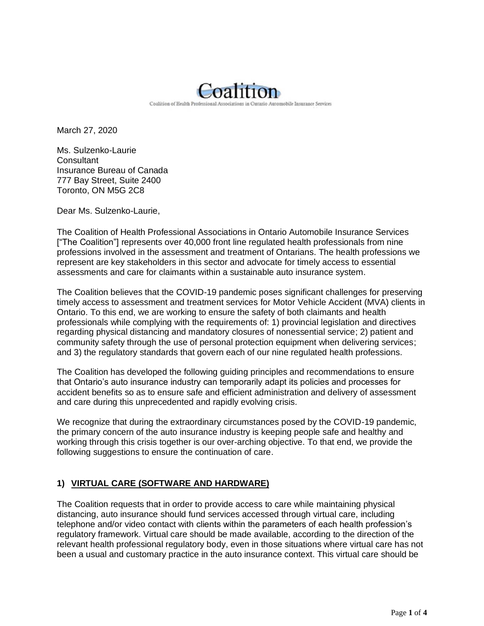

March 27, 2020

Ms. Sulzenko-Laurie **Consultant** Insurance Bureau of Canada 777 Bay Street, Suite 2400 Toronto, ON M5G 2C8

Dear Ms. Sulzenko-Laurie,

The Coalition of Health Professional Associations in Ontario Automobile Insurance Services ["The Coalition"] represents over 40,000 front line regulated health professionals from nine professions involved in the assessment and treatment of Ontarians. The health professions we represent are key stakeholders in this sector and advocate for timely access to essential assessments and care for claimants within a sustainable auto insurance system.

The Coalition believes that the COVID-19 pandemic poses significant challenges for preserving timely access to assessment and treatment services for Motor Vehicle Accident (MVA) clients in Ontario. To this end, we are working to ensure the safety of both claimants and health professionals while complying with the requirements of: 1) provincial legislation and directives regarding physical distancing and mandatory closures of nonessential service; 2) patient and community safety through the use of personal protection equipment when delivering services; and 3) the regulatory standards that govern each of our nine regulated health professions.

The Coalition has developed the following guiding principles and recommendations to ensure that Ontario's auto insurance industry can temporarily adapt its policies and processes for accident benefits so as to ensure safe and efficient administration and delivery of assessment and care during this unprecedented and rapidly evolving crisis.

We recognize that during the extraordinary circumstances posed by the COVID-19 pandemic, the primary concern of the auto insurance industry is keeping people safe and healthy and working through this crisis together is our over-arching objective. To that end, we provide the following suggestions to ensure the continuation of care.

## **1) VIRTUAL CARE (SOFTWARE AND HARDWARE)**

The Coalition requests that in order to provide access to care while maintaining physical distancing, auto insurance should fund services accessed through virtual care, including telephone and/or video contact with clients within the parameters of each health profession's regulatory framework. Virtual care should be made available, according to the direction of the relevant health professional regulatory body, even in those situations where virtual care has not been a usual and customary practice in the auto insurance context. This virtual care should be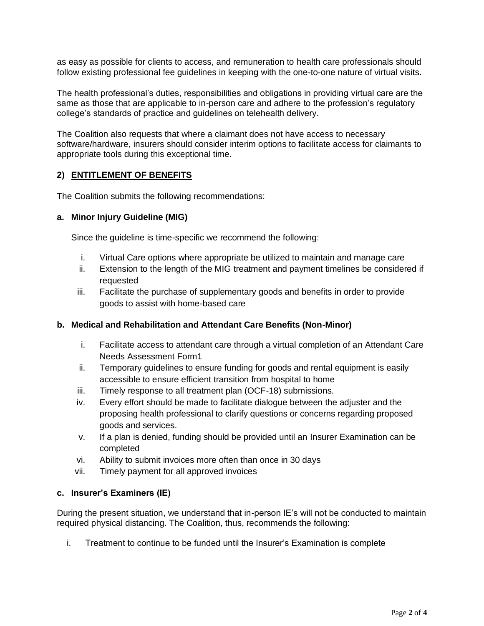as easy as possible for clients to access, and remuneration to health care professionals should follow existing professional fee guidelines in keeping with the one-to-one nature of virtual visits.

The health professional's duties, responsibilities and obligations in providing virtual care are the same as those that are applicable to in-person care and adhere to the profession's regulatory college's standards of practice and guidelines on telehealth delivery.

The Coalition also requests that where a claimant does not have access to necessary software/hardware, insurers should consider interim options to facilitate access for claimants to appropriate tools during this exceptional time.

## **2) ENTITLEMENT OF BENEFITS**

The Coalition submits the following recommendations:

#### **a. Minor Injury Guideline (MIG)**

Since the guideline is time-specific we recommend the following:

- i. Virtual Care options where appropriate be utilized to maintain and manage care
- ii. Extension to the length of the MIG treatment and payment timelines be considered if requested
- iii. Facilitate the purchase of supplementary goods and benefits in order to provide goods to assist with home-based care

#### **b. Medical and Rehabilitation and Attendant Care Benefits (Non-Minor)**

- i. Facilitate access to attendant care through a virtual completion of an Attendant Care Needs Assessment Form1
- ii. Temporary guidelines to ensure funding for goods and rental equipment is easily accessible to ensure efficient transition from hospital to home
- iii. Timely response to all treatment plan (OCF-18) submissions.
- iv. Every effort should be made to facilitate dialogue between the adjuster and the proposing health professional to clarify questions or concerns regarding proposed goods and services.
- v. If a plan is denied, funding should be provided until an Insurer Examination can be completed
- vi. Ability to submit invoices more often than once in 30 days
- vii. Timely payment for all approved invoices

#### **c. Insurer's Examiners (IE)**

During the present situation, we understand that in-person IE's will not be conducted to maintain required physical distancing. The Coalition, thus, recommends the following:

i. Treatment to continue to be funded until the Insurer's Examination is complete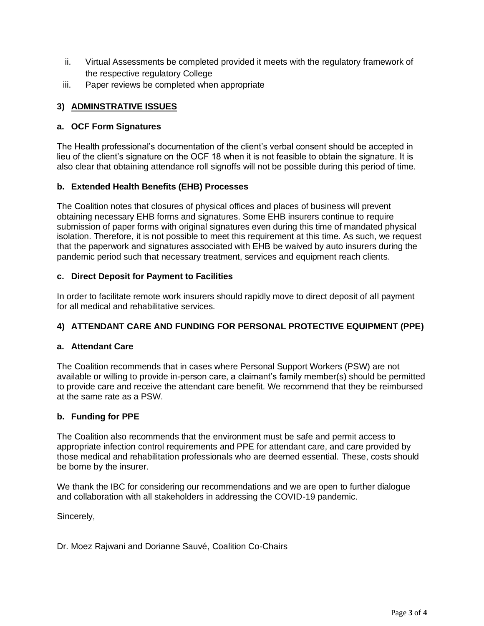- ii. Virtual Assessments be completed provided it meets with the regulatory framework of the respective regulatory College
- iii. Paper reviews be completed when appropriate

# **3) ADMINSTRATIVE ISSUES**

## **a. OCF Form Signatures**

The Health professional's documentation of the client's verbal consent should be accepted in lieu of the client's signature on the OCF 18 when it is not feasible to obtain the signature. It is also clear that obtaining attendance roll signoffs will not be possible during this period of time.

## **b. Extended Health Benefits (EHB) Processes**

The Coalition notes that closures of physical offices and places of business will prevent obtaining necessary EHB forms and signatures. Some EHB insurers continue to require submission of paper forms with original signatures even during this time of mandated physical isolation. Therefore, it is not possible to meet this requirement at this time. As such, we request that the paperwork and signatures associated with EHB be waived by auto insurers during the pandemic period such that necessary treatment, services and equipment reach clients.

## **c. Direct Deposit for Payment to Facilities**

In order to facilitate remote work insurers should rapidly move to direct deposit of all payment for all medical and rehabilitative services.

# **4) ATTENDANT CARE AND FUNDING FOR PERSONAL PROTECTIVE EQUIPMENT (PPE)**

## **a. Attendant Care**

The Coalition recommends that in cases where Personal Support Workers (PSW) are not available or willing to provide in-person care, a claimant's family member(s) should be permitted to provide care and receive the attendant care benefit. We recommend that they be reimbursed at the same rate as a PSW.

## **b. Funding for PPE**

The Coalition also recommends that the environment must be safe and permit access to appropriate infection control requirements and PPE for attendant care, and care provided by those medical and rehabilitation professionals who are deemed essential. These, costs should be borne by the insurer.

We thank the IBC for considering our recommendations and we are open to further dialogue and collaboration with all stakeholders in addressing the COVID-19 pandemic.

Sincerely,

Dr. Moez Rajwani and Dorianne Sauvé, Coalition Co-Chairs